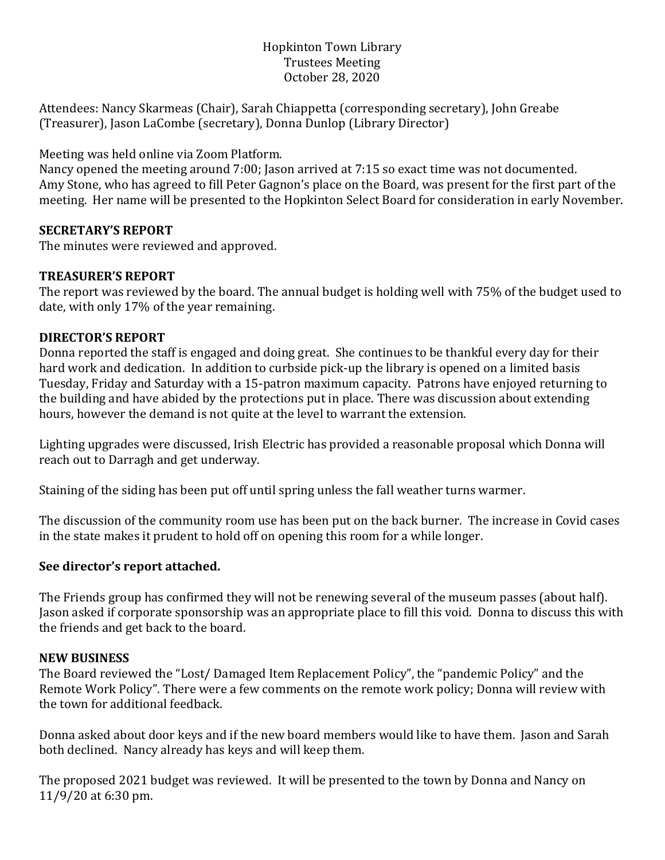## Hopkinton Town Library Trustees Meeting October 28, 2020

Attendees: Nancy Skarmeas (Chair), Sarah Chiappetta (corresponding secretary), John Greabe (Treasurer), Jason LaCombe (secretary), Donna Dunlop (Library Director)

Meeting was held online via Zoom Platform.

Nancy opened the meeting around 7:00; Jason arrived at 7:15 so exact time was not documented. Amy Stone, who has agreed to fill Peter Gagnon's place on the Board, was present for the first part of the meeting. Her name will be presented to the Hopkinton Select Board for consideration in early November.

### **SECRETARY'S REPORT**

The minutes were reviewed and approved.

## **TREASURER'S REPORT**

The report was reviewed by the board. The annual budget is holding well with 75% of the budget used to date, with only 17% of the year remaining.

## **DIRECTOR'S REPORT**

Donna reported the staff is engaged and doing great. She continues to be thankful every day for their hard work and dedication. In addition to curbside pick-up the library is opened on a limited basis Tuesday, Friday and Saturday with a 15-patron maximum capacity. Patrons have enjoyed returning to the building and have abided by the protections put in place. There was discussion about extending hours, however the demand is not quite at the level to warrant the extension.

Lighting upgrades were discussed, Irish Electric has provided a reasonable proposal which Donna will reach out to Darragh and get underway.

Staining of the siding has been put off until spring unless the fall weather turns warmer.

The discussion of the community room use has been put on the back burner. The increase in Covid cases in the state makes it prudent to hold off on opening this room for a while longer.

### **See director's report attached.**

The Friends group has confirmed they will not be renewing several of the museum passes (about half). Jason asked if corporate sponsorship was an appropriate place to fill this void. Donna to discuss this with the friends and get back to the board.

### **NEW BUSINESS**

The Board reviewed the "Lost/ Damaged Item Replacement Policy", the "pandemic Policy" and the Remote Work Policy". There were a few comments on the remote work policy; Donna will review with the town for additional feedback.

Donna asked about door keys and if the new board members would like to have them. Jason and Sarah both declined. Nancy already has keys and will keep them.

The proposed 2021 budget was reviewed. It will be presented to the town by Donna and Nancy on 11/9/20 at 6:30 pm.